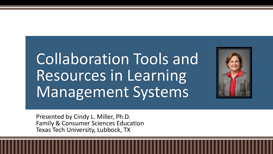# Collaboration Tools and Resources in Learning Management Systems



Presented by Cindy L. Miller, Ph.D. Family & Consumer Sciences Education Texas Tech University, Lubbock, TX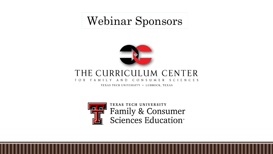Webinar Sponsors



### THE CURRICULUM CENTER

CONSUMER SCIENCES FOR FAMILY AND

TEXAS TECH UNIVERSITY . LUBBOCK, TEXAS



TEXAS TECH UNIVERSITY Family & Consumer<br>Sciences Education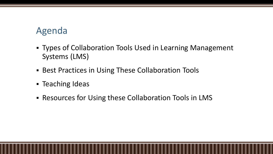# Agenda

- **Types of Collaboration Tools Used in Learning Management** Systems (LMS)
- **EXECT:** Best Practices in Using These Collaboration Tools
- **Exercing Ideas**
- Resources for Using these Collaboration Tools in LMS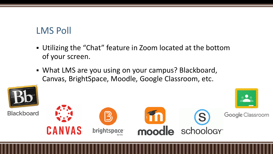# LMS Poll

- Utilizing the "Chat" feature in Zoom located at the bottom of your screen.
- **What LMS are you using on your campus? Blackboard,** Canvas, BrightSpace, Moodle, Google Classroom, etc.

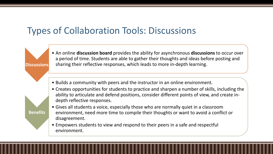**Discussions**

**Benefits**

• An online **discussion board** provides the ability for asynchronous **discussions** to occur over a period of time. Students are able to gather their thoughts and ideas before posting and sharing their reflective responses, which leads to more in-depth learning.

- Builds a community with peers and the instructor in an online environment.
- Creates opportunities for students to practice and sharpen a number of skills, including the ability to articulate and defend positions, consider different points of view, and create indepth reflective responses.
- Gives all students a voice, especially those who are normally quiet in a classroom environment, need more time to compile their thoughts or want to avoid a conflict or disagreement.
- Empowers students to view and respond to their peers in a safe and respectful environment.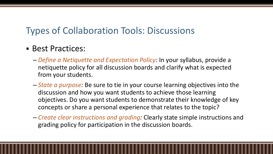#### ▪ Best Practices:

- *Define a Netiquette and Expectation Policy:* In your syllabus, provide a netiquette policy for all discussion boards and clarify what is expected from your students.
- *State a purpose:* Be sure to tie in your course learning objectives into the discussion and how you want students to achieve those learning objectives. Do you want students to demonstrate their knowledge of key concepts or share a personal experience that relates to the topic?
- *Create clear instructions and grading:* Clearly state simple instructions and grading policy for participation in the discussion boards.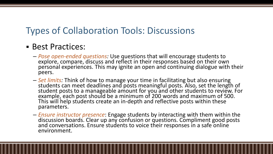#### **Best Practices:**

- *Pose open-ended questions:* Use questions that will encourage students to explore, compare, discuss and reflect in their responses based on their own personal experiences. This may ignite an open and continuing dialogue with their peers.
- *Set limits:* Think of how to manage your time in facilitating but also ensuring students can meet deadlines and posts meaningful posts. Also, set the length of student posts to a manageable amount for you and other students to review. For example, each post should be a minimum of 200 words and maximum of 500. This will help students create an in-depth and reflective posts within these parameters.
- *Ensure instructor presence*: Engage students by interacting with them within the discussion boards. Clear up any confusion or questions. Compliment good posts and conversations. Ensure students to voice their responses in a safe online environment.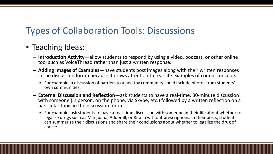#### ■ Teaching Ideas:

- **Introduction Activity**—allow students to respond by using a video, podcast, or other online tool such as VoiceThread rather than just a written response.
- **Adding Images of Examples**—have students post images along with their written responses in the discussion forum because it draws attention to real-life examples of course concepts.
	- For example, a discussion of barriers to a healthy community could include photos from students' own communities.
- **External Discussion and Reflection**—ask students to have a real-time, 30-minute discussion with someone (in person, on the phone, via Skype, etc.) followed by a written reflection on a particular topic in the discussion forum.
	- For example, ask students to have a real-time discussion with someone in their life about whether to legalize drugs such as Marijuana, Adderall, or Ritalin without prescriptions. In their posts, students can summarize their discussions and share their conclusions about whether to legalize the drug of choice.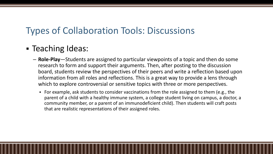### ■ Teaching Ideas:

- **Role-Play**—Students are assigned to particular viewpoints of a topic and then do some research to form and support their arguments. Then, after posting to the discussion board, students review the perspectives of their peers and write a reflection based upon information from all roles and reflections. This is a great way to provide a lens through which to explore controversial or sensitive topics with three or more perspectives.
	- For example, ask students to consider vaccinations from the role assigned to them (e.g., the parent of a child with a healthy immune system, a college student living on campus, a doctor, a community member, or a parent of an immunodeficient child). Then students will craft posts that are realistic representations of their assigned roles.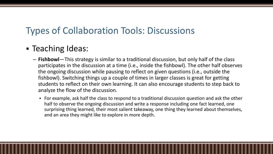### ▪ Teaching Ideas:

- **Fishbowl**—This strategy is similar to a traditional discussion, but only half of the class participates in the discussion at a time (i.e., inside the fishbowl). The other half observes the ongoing discussion while pausing to reflect on given questions (i.e., outside the fishbowl). Switching things up a couple of times in larger classes is great for getting students to reflect on their own learning. It can also encourage students to step back to analyze the flow of the discussion.
	- For example, ask half the class to respond to a traditional discussion question and ask the other half to observe the ongoing discussion and write a response including one fact learned, one surprising thing learned, their most salient takeaway, one thing they learned about themselves, and an area they might like to explore in more depth.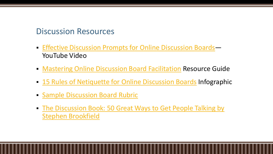#### Discussion Resources

- **[Effective Discussion Prompts for Online Discussion Boards](https://youtu.be/hj5HPtYMqtA)** YouTube Video
- [Mastering Online Discussion Board Facilitation](https://teaching.temple.edu/sites/tlc/files/resource/pdf/MasteringOnlineDiscussionBoardFacilitation.pdf) Resource Guide
- **E.** [15 Rules of Netiquette for Online Discussion Boards](http://blogs.onlineeducation.touro.edu/15-rules-netiquette-online-discussion-boards/) Infographic
- **E. [Sample Discussion Board Rubric](https://www.uc.edu/cetl/ourwork/online/DiscussionForums.html)**
- **The Discussion Book: 50 Great Ways to Get People Talking by** Stephen Brookfield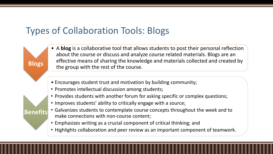**Blogs**

**Benefits**

- A **blog** is a collaborative tool that allows students to post their personal reflection about the course or discuss and analyze course related materials. Blogs are an effective means of sharing the knowledge and materials collected and created by the group with the rest of the course.
- Encourages student trust and motivation by building community;
- Promotes intellectual discussion among students;
- Provides students with another forum for asking specific or complex questions;
- Improves students' ability to critically engage with a source;
- Galvanizes students to contemplate course concepts throughout the week and to make connections with non-course content;
- Emphasizes writing as a crucial component of critical thinking; and
- Highlights collaboration and peer review as an important component of teamwork.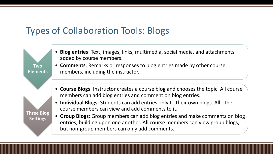**Two Elements**

**Three Blog** 

**Settings**

- **Blog entries**: Text, images, links, multimedia, social media, and attachments added by course members.
- **Comments**: Remarks or responses to blog entries made by other course members, including the instructor.
	- **Course Blogs**: Instructor creates a course blog and chooses the topic. All course members can add blog entries and comment on blog entries.
	- **Individual Blogs**: Students can add entries only to their own blogs. All other course members can view and add comments to it.
	- **Group Blogs**: Group members can add blog entries and make comments on blog entries, building upon one another. All course members can view group blogs, but non-group members can only add comments.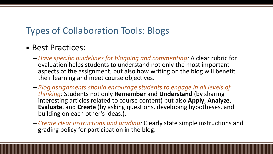- Best Practices:
	- *Have specific guidelines for blogging and commenting:* A clear rubric for evaluation helps students to understand not only the most important aspects of the assignment, but also how writing on the blog will benefit their learning and meet course objectives.
	- *Blog assignments should encourage students to engage in all levels of thinking:* Students not only **Remember** and **Understand** (by sharing interesting articles related to course content) but also **Apply**, **Analyze**, **Evaluate**, and **Create** (by asking questions, developing hypotheses, and building on each other's ideas.).
	- *Create clear instructions and grading:* Clearly state simple instructions and grading policy for participation in the blog.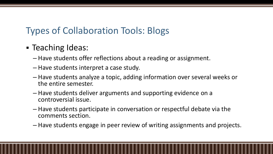- Teaching Ideas:
	- Have students offer reflections about a reading or assignment.
	- Have students interpret a case study.
	- Have students analyze a topic, adding information over several weeks or the entire semester.
	- Have students deliver arguments and supporting evidence on a controversial issue.
	- Have students participate in conversation or respectful debate via the comments section.
	- Have students engage in peer review of writing assignments and projects.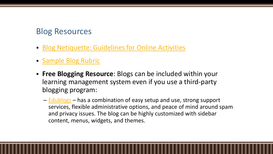#### Blog Resources

- **[Blog Netiquette: Guidelines for Online Activities](https://systemexchange.msu.edu/upload/Netiquette%20Internet%20Guidelines.pdf)**
- [Sample Blog Rubric](https://www2.uwstout.edu/content/profdev/rubrics/blogrubric.html)
- **Free Blogging Resource:** Blogs can be included within your learning management system even if you use a third-party blogging program:
	- [Edublogs](https://edublogs.org/) has a combination of easy setup and use, strong support services, flexible administrative options, and peace of mind around spam and privacy issues. The blog can be highly customized with sidebar content, menus, widgets, and themes.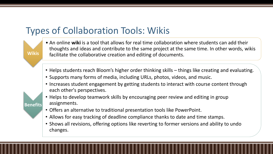**Wikis**

**Benefits**

- An online **wiki** is a tool that allows for real time collaboration where students can add their thoughts and ideas and contribute to the same project at the same time. In other words, wikis facilitate the collaborative creation and editing of documents.
- Helps students reach Bloom's higher order thinking skills things like creating and evaluating.
- Supports many forms of media, including URLs, photos, videos, and music.
- Increases student engagement by getting students to interact with course content through each other's perspectives.
- Helps to develop teamwork skills by encouraging peer review and editing in group assignments.
- Offers an alternative to traditional presentation tools like PowerPoint.
- Allows for easy tracking of deadline compliance thanks to date and time stamps.
- Shows all revisions, offering options like reverting to former versions and ability to undo changes.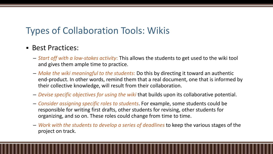#### ■ Best Practices:

- *Start off with a low-stakes activity*: This allows the students to get used to the wiki tool and gives them ample time to practice.
- *Make the wiki meaningful to the students*: Do this by directing it toward an authentic end-product. In other words, remind them that a real document, one that is informed by their collective knowledge, will result from their collaboration.
- *Devise specific objectives for using the wiki* that builds upon its collaborative potential.
- *Consider assigning specific roles to students*. For example, some students could be responsible for writing first drafts, other students for revising, other students for organizing, and so on. These roles could change from time to time.
- *Work with the students to develop a series of deadlines* to keep the various stages of the project on track.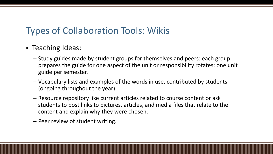- **Example 1 Teaching Ideas:** 
	- Study guides made by student groups for themselves and peers: each group prepares the guide for one aspect of the unit or responsibility rotates: one unit guide per semester.
	- Vocabulary lists and examples of the words in use, contributed by students (ongoing throughout the year).
	- Resource repository like current articles related to course content or ask students to post links to pictures, articles, and media files that relate to the content and explain why they were chosen.
	- Peer review of student writing.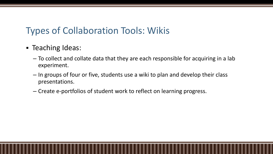- Teaching Ideas:
	- To collect and collate data that they are each responsible for acquiring in a lab experiment.
	- In groups of four or five, students use a wiki to plan and develop their class presentations.
	- Create e-portfolios of student work to reflect on learning progress.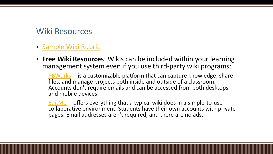#### Wiki Resources

- **E** [Sample Wiki Rubric](https://www2.uwstout.edu/content/profdev/rubrics/wikirubric.html)
- **Free Wiki Resources:** Wikis can be included within your learning management system even if you use third-party wiki programs:
	- [PBWorks](https://www.pbworks.com/education.html) -- is a customizable platform that can capture knowledge, share files, and manage projects both inside and outside of a classroom. Accounts don't require emails and can be accessed from both desktops and mobile devices.
	- [EditMe](https://www.editme.com/) -- offers everything that a typical wiki does in a simple-to-use collaborative environment. Students have their own accounts with private pages. Email addresses aren't required, and there are no ads.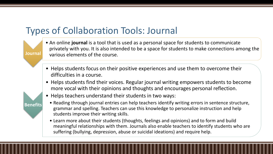# Types of Collaboration Tools: Journal

**Journal**

**Benefits**

- An online **journal** is a tool that is used as a personal space for students to communicate privately with you. It is also intended to be a space for students to make connections among the various elements of the course.
- Helps students focus on their positive experiences and use them to overcome their difficulties in a course.
- Helps students find their voices. Regular journal writing empowers students to become more vocal with their opinions and thoughts and encourages personal reflection.
- Helps teachers understand their students in two ways:
	- Reading through journal entries can help teachers identify writing errors in sentence structure, grammar and spelling. Teachers can use this knowledge to personalize instruction and help students improve their writing skills.
	- Learn more about their students (thoughts, feelings and opinions) and to form and build meaningful relationships with them. Journals also enable teachers to identify students who are suffering (bullying, depression, abuse or suicidal ideations) and require help.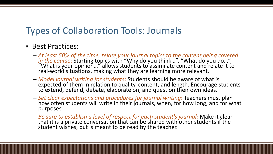# Types of Collaboration Tools: Journals

#### ■ Best Practices:

- *At least 50% of the time, relate your journal topics to the content being covered in the course*: Starting topics with "Why do you think...", "What do you do...", "What is your opinion..." allows students to assimilate content and relate it to real-world situations, making what they are learning more relevant.
- *Model journal writing for students*: Students should be aware of what is expected of them in relation to quality, content, and length. Encourage students to extend, defend, debate, elaborate on, and question their own ideas.
- *Set clear expectations and procedures for journal writing*: Teachers must plan how often students will write in their journals, when, for how long, and for what purposes.
- *Be sure to establish a level of respect for each student's journal:* Make it clear that it is a private conversation that can be shared with other students if the student wishes, but is meant to be read by the teacher.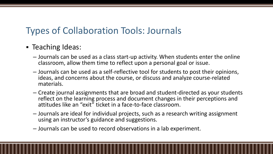# Types of Collaboration Tools: Journals

#### ■ Teaching Ideas:

- Journals can be used as a class start-up activity. When students enter the online classroom, allow them time to reflect upon a personal goal or issue.
- Journals can be used as a self-reflective tool for students to post their opinions, ideas, and concerns about the course, or discuss and analyze course-related materials.
- Create journal assignments that are broad and student-directed as your students reflect on the learning process and document changes in their perceptions and attitudes like an "exit" ticket in a face-to-face classroom.
- Journals are ideal for individual projects, such as a research writing assignment using an instructor's guidance and suggestions.
- Journals can be used to record observations in a lab experiment.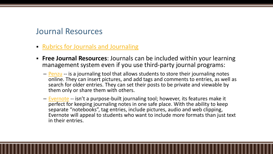#### Journal Resources

- [Rubrics for Journals and Journaling](https://teachingcommons.lakeheadu.ca/rubrics-journals-journaling)
- **Free Journal Resources**: Journals can be included within your learning management system even if you use third-party journal programs:
	- [Penzu](https://penzu.com/) -- is a journaling tool that allows students to store their journaling notes online. They can insert pictures, and add tags and comments to entries, as well as search for older entries. They can set their posts to be private and viewable by them only or share them with others.
	- [Evernote](https://evernote.com/) -- isn't a purpose-built journaling tool; however, its features make it perfect for keeping journaling notes in one safe place. With the ability to keep separate "notebooks", tag entries, include pictures, audio and web clipping, Evernote will appeal to students who want to include more formats than just text in their entries.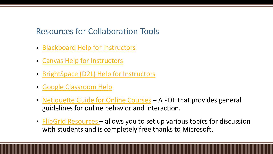#### Resources for Collaboration Tools

- [Blackboard Help for Instructors](https://help.blackboard.com/Learn/Instructor)
- [Canvas Help for Instructors](https://community.canvaslms.com/community/answers/guides/canvas-guide/getting-started/pages/instructor)
- [BrightSpace \(D2L\) Help for Instructors](https://www.d2l.com/support/)
- **[Google Classroom Help](https://support.google.com/edu/classroom/?hl=en#topic=6020277)**
- [Netiquette Guide for Online Courses](http://teach.ufl.edu/wp-content/uploads/2012/08/NetiquetteGuideforOnlineCourses.pdf) A PDF that provides general guidelines for online behavior and interaction.
- **ElipGrid Resources** allows you to set up various topics for discussion with students and is completely free thanks to Microsoft.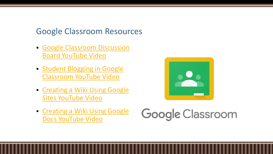#### Google Classroom Resources

- **Google Classroom Discussion** Board YouTube Video
- **Example 1 [Student Blogging in Google](https://www.youtube.com/watch?v=Qiz_E2ycZpU)** Classroom YouTube Video
- Creating a Wiki Using Google Sites YouTube Video
- Creating a Wiki Using Google Docs YouTube Video



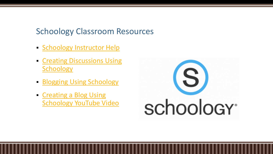#### Schoology Classroom Resources

- [Schoology Instructor Help](https://support.schoology.com/hc/en-us/categories/202764287#section-header)
- **[Creating Discussions Using](https://support.schoology.com/hc/en-us/articles/205530658-Course-Materials-Discussions)** Schoology
- **[Blogging Using Schoology](https://support.schoology.com/hc/en-us/articles/360000473508-Blog)**
- Creating a Blog Using [Schoology YouTube Video](https://www.youtube.com/watch?v=I9ultTKNgso)

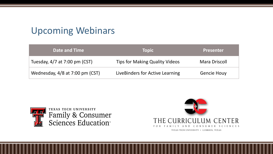# Upcoming Webinars

| Date and Time                   | <b>Topic</b>                          | <b>Presenter</b>   |
|---------------------------------|---------------------------------------|--------------------|
| Tuesday, 4/7 at 7:00 pm (CST)   | <b>Tips for Making Quality Videos</b> | Mara Driscoll      |
| Wednesday, 4/8 at 7:00 pm (CST) | LiveBinders for Active Learning       | <b>Gencie Houy</b> |